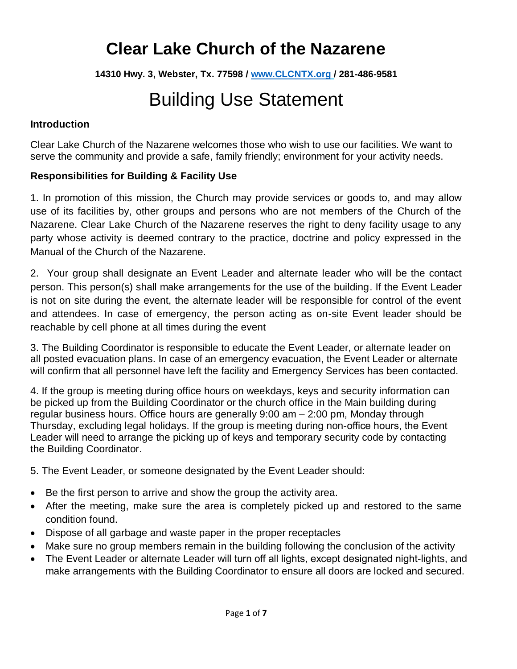## **Clear Lake Church of the Nazarene**

**14310 Hwy. 3, Webster, Tx. 77598 / [www.CLCNTX.org](http://www.clcntx.org/) / 281-486-9581**

# Building Use Statement

### **Introduction**

Clear Lake Church of the Nazarene welcomes those who wish to use our facilities. We want to serve the community and provide a safe, family friendly; environment for your activity needs.

### **Responsibilities for Building & Facility Use**

1. In promotion of this mission, the Church may provide services or goods to, and may allow use of its facilities by, other groups and persons who are not members of the Church of the Nazarene. Clear Lake Church of the Nazarene reserves the right to deny facility usage to any party whose activity is deemed contrary to the practice, doctrine and policy expressed in the Manual of the Church of the Nazarene.

2. Your group shall designate an Event Leader and alternate leader who will be the contact person. This person(s) shall make arrangements for the use of the building. If the Event Leader is not on site during the event, the alternate leader will be responsible for control of the event and attendees. In case of emergency, the person acting as on-site Event leader should be reachable by cell phone at all times during the event

3. The Building Coordinator is responsible to educate the Event Leader, or alternate leader on all posted evacuation plans. In case of an emergency evacuation, the Event Leader or alternate will confirm that all personnel have left the facility and Emergency Services has been contacted.

4. If the group is meeting during office hours on weekdays, keys and security information can be picked up from the Building Coordinator or the church office in the Main building during regular business hours. Office hours are generally 9:00 am – 2:00 pm, Monday through Thursday, excluding legal holidays. If the group is meeting during non-office hours, the Event Leader will need to arrange the picking up of keys and temporary security code by contacting the Building Coordinator.

5. The Event Leader, or someone designated by the Event Leader should:

- Be the first person to arrive and show the group the activity area.
- After the meeting, make sure the area is completely picked up and restored to the same condition found.
- Dispose of all garbage and waste paper in the proper receptacles
- Make sure no group members remain in the building following the conclusion of the activity
- The Event Leader or alternate Leader will turn off all lights, except designated night-lights, and make arrangements with the Building Coordinator to ensure all doors are locked and secured.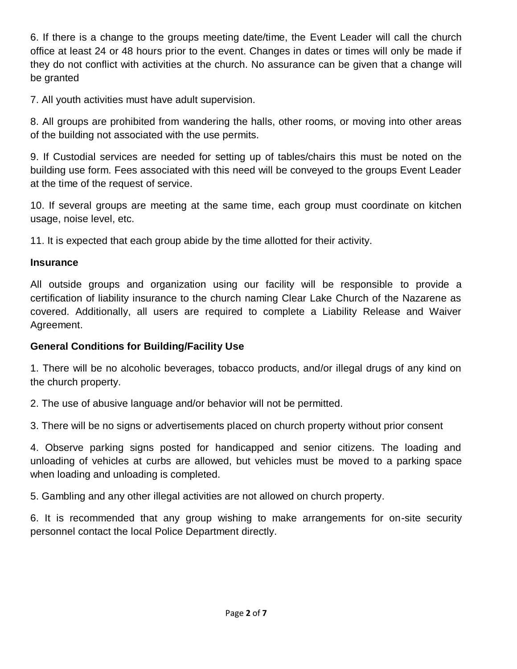6. If there is a change to the groups meeting date/time, the Event Leader will call the church office at least 24 or 48 hours prior to the event. Changes in dates or times will only be made if they do not conflict with activities at the church. No assurance can be given that a change will be granted

7. All youth activities must have adult supervision.

8. All groups are prohibited from wandering the halls, other rooms, or moving into other areas of the building not associated with the use permits.

9. If Custodial services are needed for setting up of tables/chairs this must be noted on the building use form. Fees associated with this need will be conveyed to the groups Event Leader at the time of the request of service.

10. If several groups are meeting at the same time, each group must coordinate on kitchen usage, noise level, etc.

11. It is expected that each group abide by the time allotted for their activity.

### **Insurance**

All outside groups and organization using our facility will be responsible to provide a certification of liability insurance to the church naming Clear Lake Church of the Nazarene as covered. Additionally, all users are required to complete a Liability Release and Waiver Agreement.

### **General Conditions for Building/Facility Use**

1. There will be no alcoholic beverages, tobacco products, and/or illegal drugs of any kind on the church property.

2. The use of abusive language and/or behavior will not be permitted.

3. There will be no signs or advertisements placed on church property without prior consent

4. Observe parking signs posted for handicapped and senior citizens. The loading and unloading of vehicles at curbs are allowed, but vehicles must be moved to a parking space when loading and unloading is completed.

5. Gambling and any other illegal activities are not allowed on church property.

6. It is recommended that any group wishing to make arrangements for on-site security personnel contact the local Police Department directly.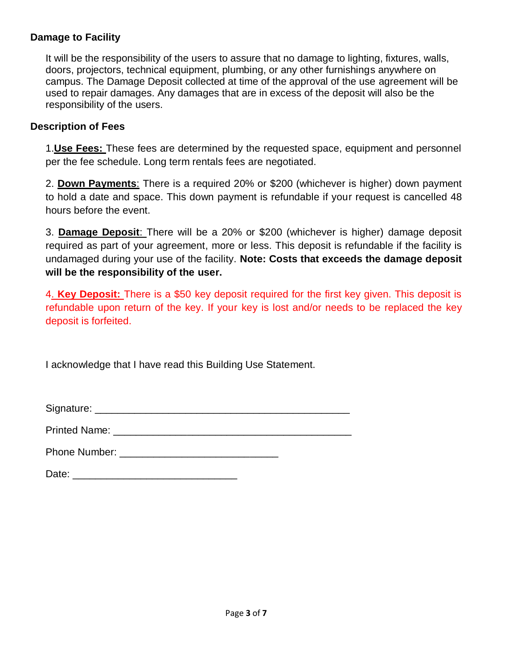### **Damage to Facility**

It will be the responsibility of the users to assure that no damage to lighting, fixtures, walls, doors, projectors, technical equipment, plumbing, or any other furnishings anywhere on campus. The Damage Deposit collected at time of the approval of the use agreement will be used to repair damages. Any damages that are in excess of the deposit will also be the responsibility of the users.

### **Description of Fees**

1.**Use Fees:** These fees are determined by the requested space, equipment and personnel per the fee schedule. Long term rentals fees are negotiated.

2. **Down Payments**: There is a required 20% or \$200 (whichever is higher) down payment to hold a date and space. This down payment is refundable if your request is cancelled 48 hours before the event.

3. **Damage Deposit**: There will be a 20% or \$200 (whichever is higher) damage deposit required as part of your agreement, more or less. This deposit is refundable if the facility is undamaged during your use of the facility. **Note: Costs that exceeds the damage deposit will be the responsibility of the user.** 

4. **Key Deposit:** There is a \$50 key deposit required for the first key given. This deposit is refundable upon return of the key. If your key is lost and/or needs to be replaced the key deposit is forfeited.

I acknowledge that I have read this Building Use Statement.

Signature: \_\_\_\_\_\_\_\_\_\_\_\_\_\_\_\_\_\_\_\_\_\_\_\_\_\_\_\_\_\_\_\_\_\_\_\_\_\_\_\_\_\_\_\_\_

Printed Name: \_\_\_\_\_\_\_\_\_\_\_\_\_\_\_\_\_\_\_\_\_\_\_\_\_\_\_\_\_\_\_\_\_\_\_\_\_\_\_\_\_\_

Phone Number:  $\blacksquare$ 

Date: \_\_\_\_\_\_\_\_\_\_\_\_\_\_\_\_\_\_\_\_\_\_\_\_\_\_\_\_\_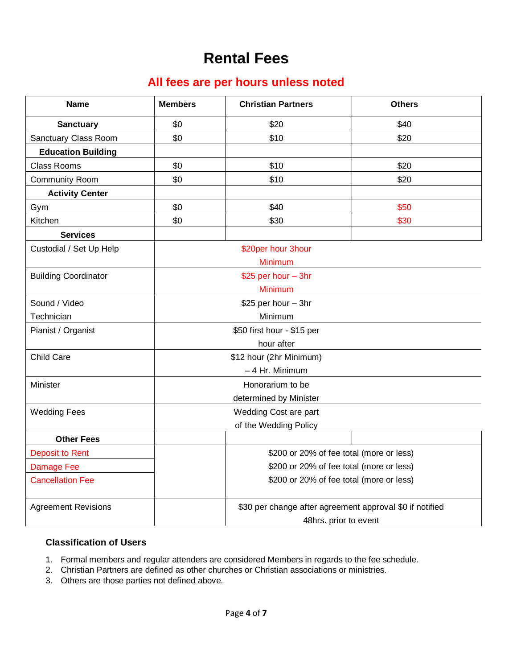### **Rental Fees**

### **All fees are per hours unless noted**

| <b>Name</b>                 | <b>Members</b>                                           | <b>Christian Partners</b> | <b>Others</b>         |  |
|-----------------------------|----------------------------------------------------------|---------------------------|-----------------------|--|
| <b>Sanctuary</b>            | \$0                                                      | \$20                      | \$40                  |  |
| Sanctuary Class Room        | \$0                                                      | \$10                      | \$20                  |  |
| <b>Education Building</b>   |                                                          |                           |                       |  |
| <b>Class Rooms</b>          | \$0                                                      | \$10                      | \$20                  |  |
| <b>Community Room</b>       | \$0                                                      | \$10                      | \$20                  |  |
| <b>Activity Center</b>      |                                                          |                           |                       |  |
| Gym                         | \$0                                                      | \$40                      | \$50                  |  |
| Kitchen                     | \$0                                                      | \$30                      | \$30                  |  |
| <b>Services</b>             |                                                          |                           |                       |  |
| Custodial / Set Up Help     | \$20per hour 3hour                                       |                           |                       |  |
|                             | Minimum                                                  |                           |                       |  |
| <b>Building Coordinator</b> |                                                          | \$25 per hour - 3hr       |                       |  |
|                             | Minimum                                                  |                           |                       |  |
| Sound / Video               | \$25 per hour - 3hr                                      |                           |                       |  |
| Technician                  | Minimum                                                  |                           |                       |  |
| Pianist / Organist          | \$50 first hour - \$15 per                               |                           |                       |  |
|                             | hour after                                               |                           |                       |  |
| Child Care                  | \$12 hour (2hr Minimum)                                  |                           |                       |  |
|                             | - 4 Hr. Minimum                                          |                           |                       |  |
| Minister                    | Honorarium to be                                         |                           |                       |  |
|                             | determined by Minister                                   |                           |                       |  |
| <b>Wedding Fees</b>         | Wedding Cost are part                                    |                           |                       |  |
|                             |                                                          | of the Wedding Policy     |                       |  |
| <b>Other Fees</b>           |                                                          |                           |                       |  |
| <b>Deposit to Rent</b>      | \$200 or 20% of fee total (more or less)                 |                           |                       |  |
| <b>Damage Fee</b>           | \$200 or 20% of fee total (more or less)                 |                           |                       |  |
| <b>Cancellation Fee</b>     | \$200 or 20% of fee total (more or less)                 |                           |                       |  |
| <b>Agreement Revisions</b>  | \$30 per change after agreement approval \$0 if notified |                           |                       |  |
|                             |                                                          |                           | 48hrs. prior to event |  |

### **Classification of Users**

- 1. Formal members and regular attenders are considered Members in regards to the fee schedule.
- 2. Christian Partners are defined as other churches or Christian associations or ministries.
- 3. Others are those parties not defined above.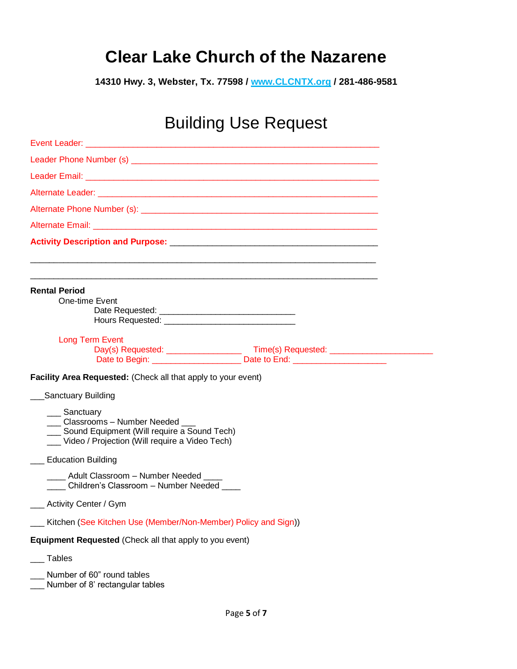## **Clear Lake Church of the Nazarene**

**14310 Hwy. 3, Webster, Tx. 77598 / www.CLCNTX.org / 281-486-9581**

## Building Use Request

| ____ Adult Classroom - Number Needed ____<br>Children's Classroom - Number Needed |  |  |  |  |  |
|-----------------------------------------------------------------------------------|--|--|--|--|--|
|                                                                                   |  |  |  |  |  |
| Kitchen (See Kitchen Use (Member/Non-Member) Policy and Sign))                    |  |  |  |  |  |
|                                                                                   |  |  |  |  |  |
|                                                                                   |  |  |  |  |  |
|                                                                                   |  |  |  |  |  |
|                                                                                   |  |  |  |  |  |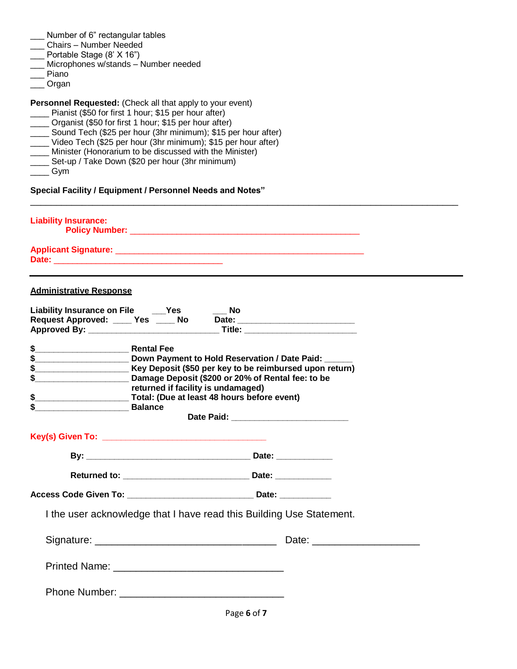- \_\_\_ Number of 6" rectangular tables
- \_\_\_ Chairs Number Needed
- \_\_\_ Portable Stage (8' X 16")
- \_\_\_ Microphones w/stands Number needed
- \_\_\_ Piano
- \_\_\_ Organ

**Personnel Requested:** (Check all that apply to your event)

- Pianist (\$50 for first 1 hour; \$15 per hour after)
- \_\_\_\_ Organist (\$50 for first 1 hour; \$15 per hour after)
- Sound Tech (\$25 per hour (3hr minimum); \$15 per hour after)
- \_\_\_\_ Video Tech (\$25 per hour (3hr minimum); \$15 per hour after)
- \_\_\_\_ Minister (Honorarium to be discussed with the Minister)
- \_\_\_\_ Set-up / Take Down (\$20 per hour (3hr minimum)
- $\equiv$  Gym

**Special Facility / Equipment / Personnel Needs and Notes"**

| <b>Liability Insurance:</b><br><b>Policy Number:</b> |  |
|------------------------------------------------------|--|
| <b>Applicant Signature:</b><br>Date:                 |  |

\_\_\_\_\_\_\_\_\_\_\_\_\_\_\_\_\_\_\_\_\_\_\_\_\_\_\_\_\_\_\_\_\_\_\_\_\_\_\_\_\_\_\_\_\_\_\_\_\_\_\_\_\_\_\_\_\_\_\_\_\_\_\_\_\_\_\_\_\_\_\_\_\_\_\_\_\_\_\_\_\_\_\_

#### **Administrative Response**

| \$<br>Balance | \$__________________________ Key Deposit (\$50 per key to be reimbursed upon return)<br>Damage Deposit (\$200 or 20% of Rental fee: to be<br>returned if facility is undamaged) |  |
|---------------|---------------------------------------------------------------------------------------------------------------------------------------------------------------------------------|--|
|               |                                                                                                                                                                                 |  |
|               |                                                                                                                                                                                 |  |
|               |                                                                                                                                                                                 |  |
|               |                                                                                                                                                                                 |  |
|               | I the user acknowledge that I have read this Building Use Statement.                                                                                                            |  |
|               |                                                                                                                                                                                 |  |
|               |                                                                                                                                                                                 |  |
|               |                                                                                                                                                                                 |  |
|               |                                                                                                                                                                                 |  |